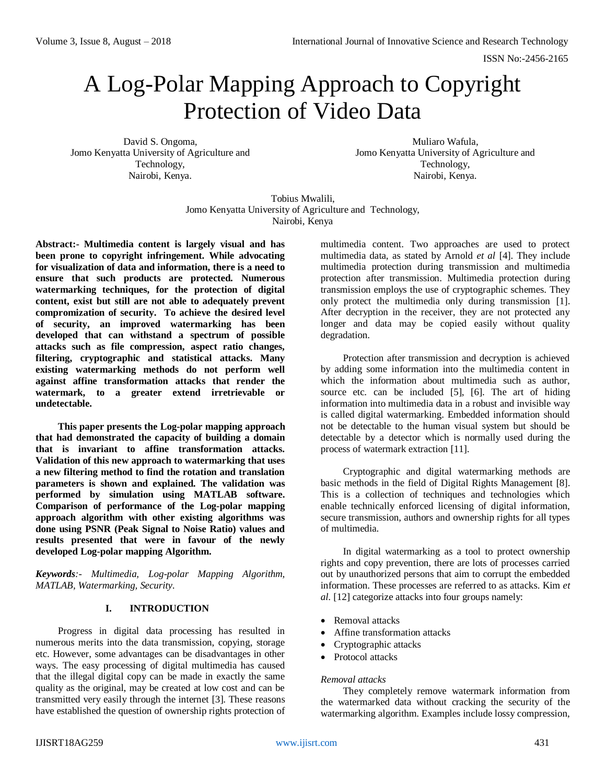# A Log-Polar Mapping Approach to Copyright Protection of Video Data

David S. Ongoma, Jomo Kenyatta University of Agriculture and Technology, Nairobi, Kenya.

Muliaro Wafula, Jomo Kenyatta University of Agriculture and Technology, Nairobi, Kenya.

Tobius Mwalili, Jomo Kenyatta University of Agriculture and Technology, Nairobi, Kenya

**Abstract:- Multimedia content is largely visual and has been prone to copyright infringement. While advocating for visualization of data and information, there is a need to ensure that such products are protected. Numerous watermarking techniques, for the protection of digital content, exist but still are not able to adequately prevent compromization of security. To achieve the desired level of security, an improved watermarking has been developed that can withstand a spectrum of possible attacks such as file compression, aspect ratio changes, filtering, cryptographic and statistical attacks. Many existing watermarking methods do not perform well against affine transformation attacks that render the watermark, to a greater extend irretrievable or undetectable.**

**This paper presents the Log-polar mapping approach that had demonstrated the capacity of building a domain that is invariant to affine transformation attacks. Validation of this new approach to watermarking that uses a new filtering method to find the rotation and translation parameters is shown and explained. The validation was performed by simulation using MATLAB software. Comparison of performance of the Log-polar mapping approach algorithm with other existing algorithms was done using PSNR (Peak Signal to Noise Ratio) values and results presented that were in favour of the newly developed Log-polar mapping Algorithm.** 

*Keywords:- Multimedia, Log-polar Mapping Algorithm, MATLAB, Watermarking, Security.* 

# **I. INTRODUCTION**

Progress in digital data processing has resulted in numerous merits into the data transmission, copying, storage etc. However, some advantages can be disadvantages in other ways. The easy processing of digital multimedia has caused that the illegal digital copy can be made in exactly the same quality as the original, may be created at low cost and can be transmitted very easily through the internet [3]. These reasons have established the question of ownership rights protection of

multimedia content. Two approaches are used to protect multimedia data, as stated by Arnold *et al* [4]. They include multimedia protection during transmission and multimedia protection after transmission. Multimedia protection during transmission employs the use of cryptographic schemes. They only protect the multimedia only during transmission [1]. After decryption in the receiver, they are not protected any longer and data may be copied easily without quality degradation.

Protection after transmission and decryption is achieved by adding some information into the multimedia content in which the information about multimedia such as author, source etc. can be included [5], [6]. The art of hiding information into multimedia data in a robust and invisible way is called digital watermarking. Embedded information should not be detectable to the human visual system but should be detectable by a detector which is normally used during the process of watermark extraction [11].

Cryptographic and digital watermarking methods are basic methods in the field of Digital Rights Management [8]. This is a collection of techniques and technologies which enable technically enforced licensing of digital information, secure transmission, authors and ownership rights for all types of multimedia.

In digital watermarking as a tool to protect ownership rights and copy prevention, there are lots of processes carried out by unauthorized persons that aim to corrupt the embedded information. These processes are referred to as attacks. Kim *et al.* [12] categorize attacks into four groups namely:

- Removal attacks
- Affine transformation attacks
- Cryptographic attacks
- Protocol attacks

# *Removal attacks*

They completely remove watermark information from the watermarked data without cracking the security of the watermarking algorithm. Examples include lossy compression,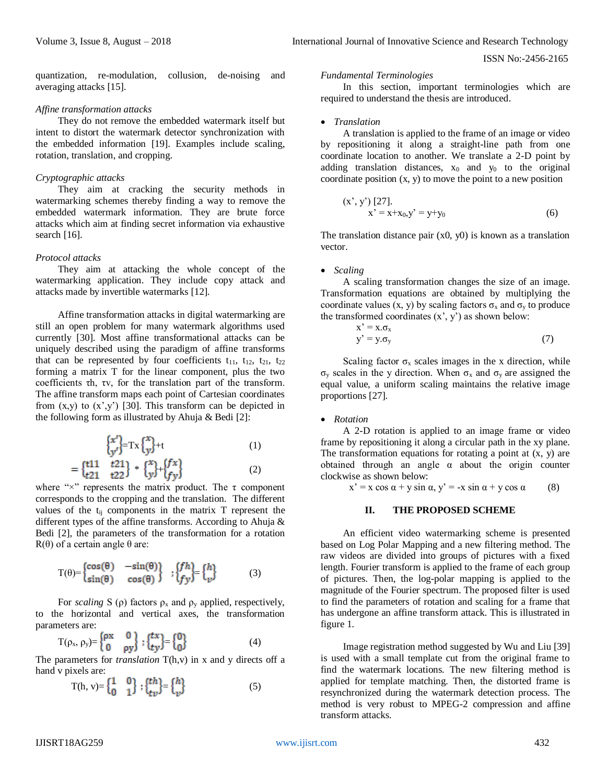quantization, re-modulation, collusion, de-noising and averaging attacks [15].

#### *Affine transformation attacks*

They do not remove the embedded watermark itself but intent to distort the watermark detector synchronization with the embedded information [19]. Examples include scaling, rotation, translation, and cropping.

#### *Cryptographic attacks*

They aim at cracking the security methods in watermarking schemes thereby finding a way to remove the embedded watermark information. They are brute force attacks which aim at finding secret information via exhaustive search [16].

## *Protocol attacks*

They aim at attacking the whole concept of the watermarking application. They include copy attack and attacks made by invertible watermarks [12].

Affine transformation attacks in digital watermarking are still an open problem for many watermark algorithms used currently [30]. Most affine transformational attacks can be uniquely described using the paradigm of affine transforms that can be represented by four coefficients  $t_{11}$ ,  $t_{12}$ ,  $t_{21}$ ,  $t_{22}$ forming a matrix T for the linear component, plus the two coefficients τh, τv, for the translation part of the transform. The affine transform maps each point of Cartesian coordinates from  $(x,y)$  to  $(x',y')$  [30]. This transform can be depicted in the following form as illustrated by Ahuja & Bedi [2]:

$$
\begin{cases}\n\begin{cases}\nx' \\
y'\n\end{cases} = \text{Tx}\begin{cases}\nx \\
y\end{cases} + t\n\end{cases}
$$
\n(1)\n  
\n=\n
$$
\begin{cases}\n\begin{cases}\n\text{t11} & \text{t21} \\
\text{t21} & \text{t22}\n\end{cases} * \begin{cases}\n\begin{cases}\nx \\
y\end{cases}\n\end{cases} + \begin{cases}\nf\nx \\
f\ny\n\end{cases}
$$
\n(2)

where " $\times$ " represents the matrix product. The  $\tau$  component corresponds to the cropping and the translation. The different values of the  $t_{ij}$  components in the matrix T represent the different types of the affine transforms. According to Ahuja & Bedi [2], the parameters of the transformation for a rotation R(θ) of a certain angle θ are:

$$
T(\theta) = \begin{cases} \cos(\theta) & -\sin(\theta) \\ \sin(\theta) & \cos(\theta) \end{cases}; \begin{cases} fh \\ fy \end{cases} = \begin{cases} h \\ v \end{cases}
$$
 (3)

For *scaling* S ( $\rho$ ) factors  $\rho_x$  and  $\rho_y$  applied, respectively, to the horizontal and vertical axes, the transformation parameters are:

$$
T(\rho_x, \rho_y) = \begin{cases} \rho x & 0 \\ 0 & \rho y \end{cases}; \begin{cases} tx \\ ty \end{cases} = \begin{cases} 0 \\ 0 \end{cases}
$$
 (4)

The parameters for *translation* T(h,v) in x and y directs off a hand v pixels are:

T(h, v)= 
$$
\begin{Bmatrix} 1 & 0 \\ 0 & 1 \end{Bmatrix}
$$
;  $\begin{Bmatrix} th \\ tv \end{Bmatrix} = \begin{Bmatrix} h \\ v \end{Bmatrix}$  (5)

#### *Fundamental Terminologies*

In this section, important terminologies which are required to understand the thesis are introduced.

#### *Translation*

A translation is applied to the frame of an image or video by repositioning it along a straight-line path from one coordinate location to another. We translate a 2-D point by adding translation distances,  $x_0$  and  $y_0$  to the original coordinate position  $(x, y)$  to move the point to a new position

$$
(x', y') [27].
$$
  
x' = x+x<sub>0</sub>, y' = y+y<sub>0</sub> (6)

The translation distance pair  $(x0, y0)$  is known as a translation vector.

#### *Scaling*

A scaling transformation changes the size of an image. Transformation equations are obtained by multiplying the coordinate values  $(x, y)$  by scaling factors  $\sigma_x$  and  $\sigma_y$  to produce the transformed coordinates  $(x', y')$  as shown below:

$$
x' = x.\sigma_x
$$
  
y' = y.\sigma\_y (7)

Scaling factor  $\sigma_x$  scales images in the x direction, while σ<sub>y</sub> scales in the y direction. When  $\sigma_x$  and  $\sigma_y$  are assigned the equal value, a uniform scaling maintains the relative image proportions [27].

## *Rotation*

A 2-D rotation is applied to an image frame or video frame by repositioning it along a circular path in the xy plane. The transformation equations for rotating a point at  $(x, y)$  are obtained through an angle  $\alpha$  about the origin counter clockwise as shown below:

 $x' = x \cos \alpha + y \sin \alpha, y' = -x \sin \alpha + y \cos \alpha$  (8)

#### **II. THE PROPOSED SCHEME**

An efficient video watermarking scheme is presented based on Log Polar Mapping and a new filtering method. The raw videos are divided into groups of pictures with a fixed length. Fourier transform is applied to the frame of each group of pictures. Then, the log-polar mapping is applied to the magnitude of the Fourier spectrum. The proposed filter is used to find the parameters of rotation and scaling for a frame that has undergone an affine transform attack. This is illustrated in figure 1.

Image registration method suggested by Wu and Liu [39] is used with a small template cut from the original frame to find the watermark locations. The new filtering method is applied for template matching. Then, the distorted frame is resynchronized during the watermark detection process. The method is very robust to MPEG-2 compression and affine transform attacks.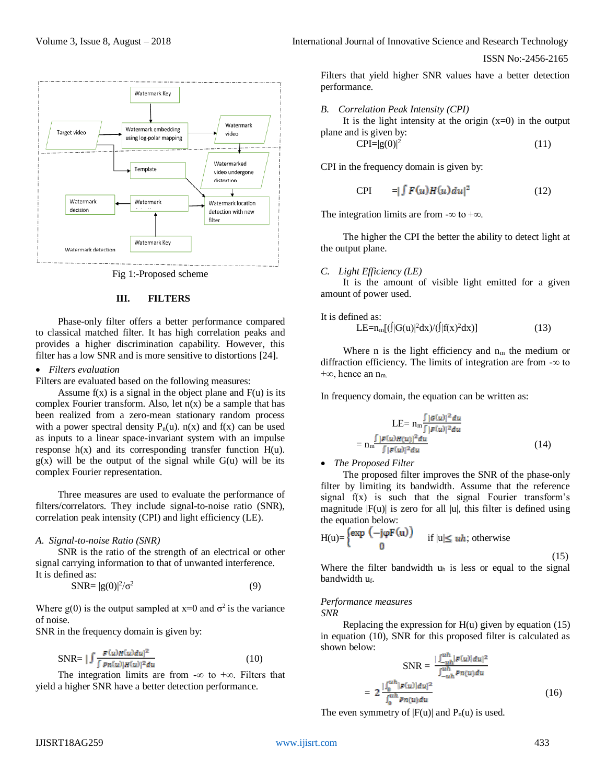

Fig 1:-Proposed scheme

#### **III. FILTERS**

Phase-only filter offers a better performance compared to classical matched filter. It has high correlation peaks and provides a higher discrimination capability. However, this filter has a low SNR and is more sensitive to distortions [24].

#### *Filters evaluation*

Filters are evaluated based on the following measures:

Assume  $f(x)$  is a signal in the object plane and  $F(u)$  is its complex Fourier transform. Also, let  $n(x)$  be a sample that has been realized from a zero-mean stationary random process with a power spectral density  $P_n(u)$ .  $n(x)$  and  $f(x)$  can be used as inputs to a linear space-invariant system with an impulse response  $h(x)$  and its corresponding transfer function  $H(u)$ .  $g(x)$  will be the output of the signal while  $G(u)$  will be its complex Fourier representation.

Three measures are used to evaluate the performance of filters/correlators. They include signal-to-noise ratio (SNR), correlation peak intensity (CPI) and light efficiency (LE).

#### *A. Signal-to-noise Ratio (SNR)*

SNR is the ratio of the strength of an electrical or other signal carrying information to that of unwanted interference. It is defined as:

$$
SNR = |g(0)|^2 / \sigma^2 \tag{9}
$$

Where g(0) is the output sampled at  $x=0$  and  $\sigma^2$  is the variance of noise.

SNR in the frequency domain is given by:

$$
\text{SNR} = \left| \int \frac{F(u)H(u)du|^2}{\int Pn(u)|H(u)|^2du} \right. \tag{10}
$$

The integration limits are from -∞ to +∞. Filters that yield a higher SNR have a better detection performance.

Volume 3, Issue 8, August – 2018 **International Journal of Innovative Science and Research Technology** 

ISSN No:-2456-2165

Filters that yield higher SNR values have a better detection performance.

*B. Correlation Peak Intensity (CPI)*

It is the light intensity at the origin  $(x=0)$  in the output plane and is given by:

$$
CPI = |g(0)|^2 \tag{11}
$$

CPI in the frequency domain is given by:

$$
CPI = | \int F(u)H(u)du |^2 \qquad (12)
$$

The integration limits are from  $-\infty$  to  $+\infty$ .

The higher the CPI the better the ability to detect light at the output plane.

*C. Light Efficiency (LE)*

It is the amount of visible light emitted for a given amount of power used.

It is defined as:

$$
LE=n_m[(\int |G(u)|^2 dx)/(\int |f(x)^2 dx)] \tag{13}
$$

Where n is the light efficiency and  $n<sub>m</sub>$  the medium or diffraction efficiency. The limits of integration are from -∞ to +∞, hence an  $n<sub>m</sub>$ .

In frequency domain, the equation can be written as:

$$
LE = n_m \frac{\int |\mathcal{G}(u)|^2 du}{\int |\mathcal{F}(u)|^2 du}
$$
  
= 
$$
n_m \frac{\int |\mathcal{F}(u)H(u)|^2 du}{\int |\mathcal{F}(u)|^2 du}
$$
 (14)

#### *The Proposed Filter*

The proposed filter improves the SNR of the phase-only filter by limiting its bandwidth. Assume that the reference signal  $f(x)$  is such that the signal Fourier transform's magnitude  $|F(u)|$  is zero for all  $|u|$ , this filter is defined using the equation below:

$$
H(u) = \begin{cases} exp & (-j\varphi F(u)) \\ 0 & \text{if } |u| \leq uh \end{cases}
$$
; otherwise

(15)

Where the filter bandwidth  $u<sub>h</sub>$  is less or equal to the signal bandwidth uf.

## *Performance measures*

*SNR*

Replacing the expression for  $H(u)$  given by equation (15) in equation (10), SNR for this proposed filter is calculated as shown below:

$$
SNR = \frac{| \int_{-uh}^{u_h} |F(u)| du|^2}{\int_{-uh}^{u_h} p_n(u) du}
$$

$$
= 2 \frac{| \int_0^{u_h} |F(u)| du|^2}{\int_0^{u_h} p_n(u) du}
$$
(16)

The even symmetry of  $|F(u)|$  and  $P_n(u)$  is used.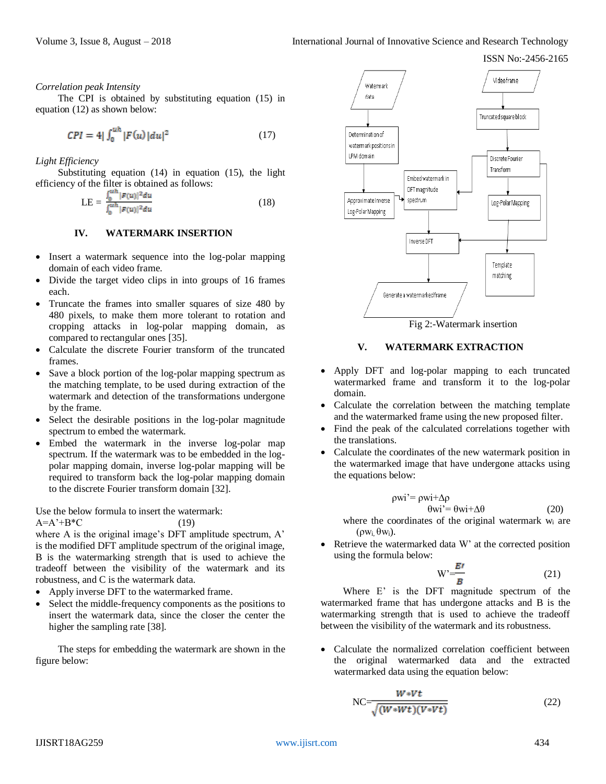*Correlation peak Intensity*

The CPI is obtained by substituting equation (15) in equation (12) as shown below:

$$
CPI = 4|\int_{0}^{u} |F(u)| du|^{2}
$$
 (17)

*Light Efficiency*

Substituting equation (14) in equation (15), the light efficiency of the filter is obtained as follows:

$$
LE = \frac{\int_0^{u} |F(u)|^2 du}{\int_0^{u} |F(u)|^2 du}
$$
 (18)

## **IV. WATERMARK INSERTION**

- Insert a watermark sequence into the log-polar mapping domain of each video frame.
- Divide the target video clips in into groups of 16 frames each.
- Truncate the frames into smaller squares of size 480 by 480 pixels, to make them more tolerant to rotation and cropping attacks in log-polar mapping domain, as compared to rectangular ones [35].
- Calculate the discrete Fourier transform of the truncated frames.
- Save a block portion of the log-polar mapping spectrum as the matching template, to be used during extraction of the watermark and detection of the transformations undergone by the frame.
- Select the desirable positions in the log-polar magnitude spectrum to embed the watermark.
- Embed the watermark in the inverse log-polar map spectrum. If the watermark was to be embedded in the logpolar mapping domain, inverse log-polar mapping will be required to transform back the log-polar mapping domain to the discrete Fourier transform domain [32].

Use the below formula to insert the watermark:

 $A=A^*+B^*C$  (19)

where A is the original image's DFT amplitude spectrum, A' is the modified DFT amplitude spectrum of the original image, B is the watermarking strength that is used to achieve the tradeoff between the visibility of the watermark and its robustness, and C is the watermark data.

- Apply inverse DFT to the watermarked frame.
- Select the middle-frequency components as the positions to insert the watermark data, since the closer the center the higher the sampling rate [38].

The steps for embedding the watermark are shown in the figure below:



Fig 2:-Watermark insertion

## **V. WATERMARK EXTRACTION**

- Apply DFT and log-polar mapping to each truncated watermarked frame and transform it to the log-polar domain.
- Calculate the correlation between the matching template and the watermarked frame using the new proposed filter.
- Find the peak of the calculated correlations together with the translations.
- Calculate the coordinates of the new watermark position in the watermarked image that have undergone attacks using the equations below:

$$
\rho wi' = \rho wi + \Delta \rho
$$
  
\n
$$
\theta wi' = \theta wi + \Delta \theta
$$
 (20)

where the coordinates of the original watermark w<sub>i</sub> are (ρ $w_i$ , θ $w_i$ ).

 Retrieve the watermarked data W' at the corrected position using the formula below:

$$
W' = \frac{B'}{B} \tag{21}
$$

Where E' is the DFT magnitude spectrum of the watermarked frame that has undergone attacks and B is the watermarking strength that is used to achieve the tradeoff between the visibility of the watermark and its robustness.

 Calculate the normalized correlation coefficient between the original watermarked data and the extracted watermarked data using the equation below:

$$
NC = \frac{W*Vt}{\sqrt{(W*Wt)(V*Vt)}}
$$
\n(22)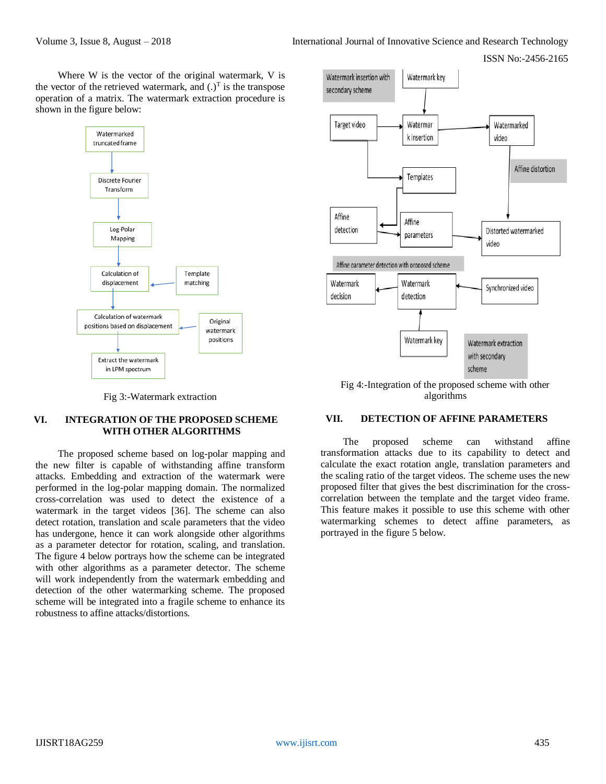Where W is the vector of the original watermark, V is the vector of the retrieved watermark, and  $(.)^T$  is the transpose operation of a matrix. The watermark extraction procedure is shown in the figure below:



Fig 3:-Watermark extraction

## **VI. INTEGRATION OF THE PROPOSED SCHEME WITH OTHER ALGORITHMS**

The proposed scheme based on log-polar mapping and the new filter is capable of withstanding affine transform attacks. Embedding and extraction of the watermark were performed in the log-polar mapping domain. The normalized cross-correlation was used to detect the existence of a watermark in the target videos [36]. The scheme can also detect rotation, translation and scale parameters that the video has undergone, hence it can work alongside other algorithms as a parameter detector for rotation, scaling, and translation. The figure 4 below portrays how the scheme can be integrated with other algorithms as a parameter detector. The scheme will work independently from the watermark embedding and detection of the other watermarking scheme. The proposed scheme will be integrated into a fragile scheme to enhance its robustness to affine attacks/distortions.



Fig 4:-Integration of the proposed scheme with other algorithms

# **VII. DETECTION OF AFFINE PARAMETERS**

The proposed scheme can withstand affine transformation attacks due to its capability to detect and calculate the exact rotation angle, translation parameters and the scaling ratio of the target videos. The scheme uses the new proposed filter that gives the best discrimination for the crosscorrelation between the template and the target video frame. This feature makes it possible to use this scheme with other watermarking schemes to detect affine parameters, as portrayed in the figure 5 below.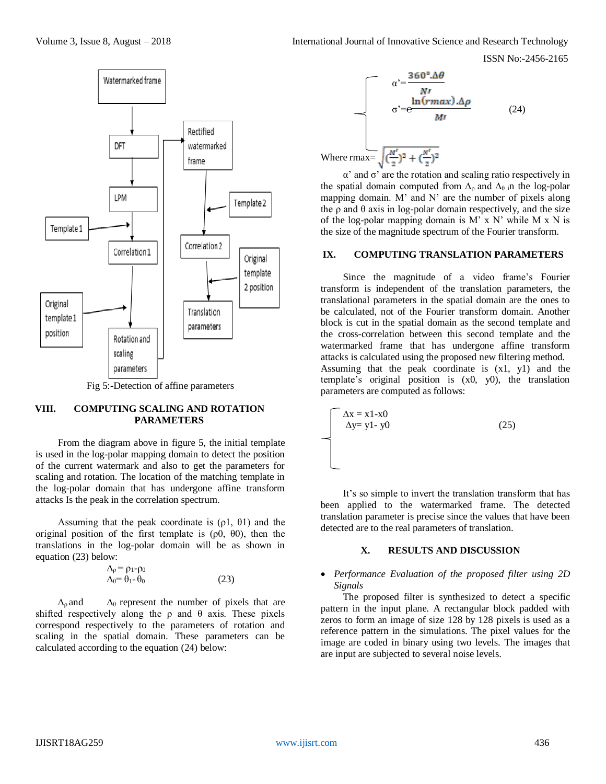



Fig 5:-Detection of affine parameters

## **VIII. COMPUTING SCALING AND ROTATION PARAMETERS**

From the diagram above in figure 5, the initial template is used in the log-polar mapping domain to detect the position of the current watermark and also to get the parameters for scaling and rotation. The location of the matching template in the log-polar domain that has undergone affine transform attacks Is the peak in the correlation spectrum.

Assuming that the peak coordinate is  $(\rho_1, \theta_1)$  and the original position of the first template is  $(\rho 0, \theta 0)$ , then the translations in the log-polar domain will be as shown in equation (23) below:

$$
\Delta_{\rho} = \rho_1 - \rho_0
$$
  
 
$$
\Delta_{\theta} = \theta_1 - \theta_0
$$
 (23)

 $\Delta_{\theta}$  and  $\Delta_{\theta}$  represent the number of pixels that are shifted respectively along the  $\rho$  and  $\theta$  axis. These pixels correspond respectively to the parameters of rotation and scaling in the spatial domain. These parameters can be calculated according to the equation (24) below:

$$
\alpha' = \frac{360^\circ \cdot \Delta\theta}{N!}
$$
\n
$$
\sigma' = e^{\frac{\ln(rmax) \cdot \Delta\rho}{M!}}
$$
\n
$$
\omega
$$
\nWhere  $\text{max} = \sqrt{\left(\frac{M'}{2}\right)^2 + \left(\frac{N'}{2}\right)^2}$ 

α' and σ' are the rotation and scaling ratio respectively in the spatial domain computed from  $\Delta_{\rho}$  and  $\Delta_{\theta}$  in the log-polar mapping domain. M' and N' are the number of pixels along the  $\rho$  and  $\theta$  axis in log-polar domain respectively, and the size of the log-polar mapping domain is  $M'$  x  $N'$  while  $M \times N$  is the size of the magnitude spectrum of the Fourier transform.

#### **IX. COMPUTING TRANSLATION PARAMETERS**

Since the magnitude of a video frame's Fourier transform is independent of the translation parameters, the translational parameters in the spatial domain are the ones to be calculated, not of the Fourier transform domain. Another block is cut in the spatial domain as the second template and the cross-correlation between this second template and the watermarked frame that has undergone affine transform attacks is calculated using the proposed new filtering method. Assuming that the peak coordinate is (x1, y1) and the template's original position is (x0, y0), the translation parameters are computed as follows:

$$
\Delta x = x1-x0
$$
  
\n
$$
\Delta y = y1 - y0
$$
 (25)

It's so simple to invert the translation transform that has been applied to the watermarked frame. The detected translation parameter is precise since the values that have been detected are to the real parameters of translation.

#### **X. RESULTS AND DISCUSSION**

## *Performance Evaluation of the proposed filter using 2D Signals*

The proposed filter is synthesized to detect a specific pattern in the input plane. A rectangular block padded with zeros to form an image of size 128 by 128 pixels is used as a reference pattern in the simulations. The pixel values for the image are coded in binary using two levels. The images that are input are subjected to several noise levels.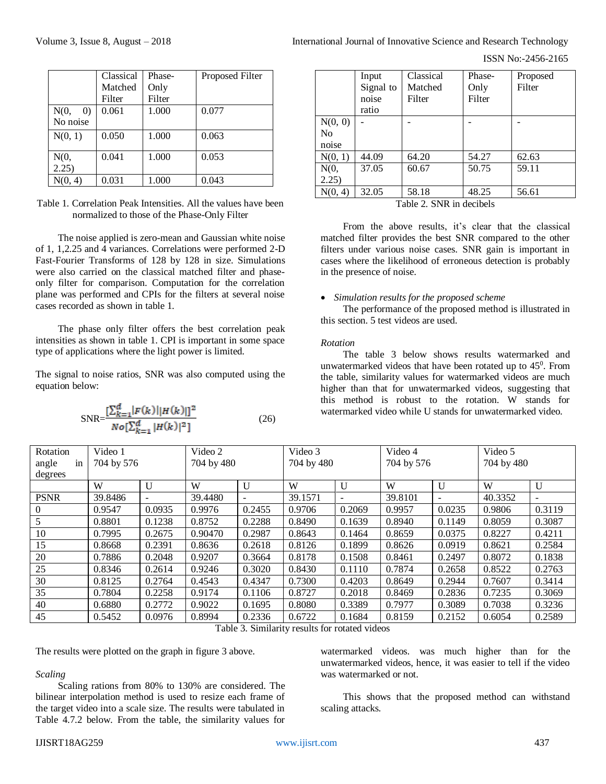| International Journal of Innovative Science and Research Technology |  |
|---------------------------------------------------------------------|--|
|---------------------------------------------------------------------|--|

ISSN No:-2456-2165

|                                       | Classical | Phase- | Proposed Filter |
|---------------------------------------|-----------|--------|-----------------|
|                                       | Matched   | Only   |                 |
|                                       | Filter    | Filter |                 |
| N(0,<br>$\left( 0\right)$<br>No noise | 0.061     | 1.000  | 0.077           |
|                                       |           |        |                 |
| N(0, 1)                               | 0.050     | 1.000  | 0.063           |
| N(0,                                  | 0.041     | 1.000  | 0.053           |
| 2.25)                                 |           |        |                 |
| N(0, 4)                               | 0.031     | 1.000  | 0.043           |

Table 1. Correlation Peak Intensities. All the values have been normalized to those of the Phase-Only Filter

The noise applied is zero-mean and Gaussian white noise of 1, 1,2.25 and 4 variances. Correlations were performed 2-D Fast-Fourier Transforms of 128 by 128 in size. Simulations were also carried on the classical matched filter and phaseonly filter for comparison. Computation for the correlation plane was performed and CPIs for the filters at several noise cases recorded as shown in table 1.

The phase only filter offers the best correlation peak intensities as shown in table 1. CPI is important in some space type of applications where the light power is limited.

The signal to noise ratios, SNR was also computed using the equation below:

$$
SNR = \frac{\left[\sum_{k=1}^{d} |F(k)| |H(k)|\right]^2}{N o \left[\sum_{k=1}^{d} |H(k)|^2\right]}
$$
(26)

|         | Input     | Classical | Phase- | Proposed |
|---------|-----------|-----------|--------|----------|
|         | Signal to | Matched   | Only   | Filter   |
|         | noise     | Filter    | Filter |          |
|         | ratio     |           |        |          |
| N(0, 0) |           |           |        |          |
| No      |           |           |        |          |
| noise   |           |           |        |          |
| N(0, 1) | 44.09     | 64.20     | 54.27  | 62.63    |
| N(0,    | 37.05     | 60.67     | 50.75  | 59.11    |
| 2.25)   |           |           |        |          |
| N(0, 4) | 32.05     | 58.18     | 48.25  | 56.61    |

Table 2. SNR in decibels

From the above results, it's clear that the classical matched filter provides the best SNR compared to the other filters under various noise cases. SNR gain is important in cases where the likelihood of erroneous detection is probably in the presence of noise.

#### *Simulation results for the proposed scheme*

The performance of the proposed method is illustrated in this section. 5 test videos are used.

#### *Rotation*

The table 3 below shows results watermarked and unwatermarked videos that have been rotated up to  $45^{\circ}$ . From the table, similarity values for watermarked videos are much higher than that for unwatermarked videos, suggesting that this method is robust to the rotation. W stands for watermarked video while U stands for unwatermarked video.

| Rotation    | Video 1    |                          | Video 2    |                          | Video 3 |              |         | Video 4<br>704 by 576    |            | Video 5                  |  |
|-------------|------------|--------------------------|------------|--------------------------|---------|--------------|---------|--------------------------|------------|--------------------------|--|
| in<br>angle | 704 by 576 |                          | 704 by 480 |                          |         | 704 by 480   |         |                          | 704 by 480 |                          |  |
| degrees     |            |                          |            |                          |         |              |         |                          |            |                          |  |
|             | W          | U                        | W          | $\mathbf{U}$             | W       | $\mathbf{U}$ | W       | U                        | W          | U                        |  |
| <b>PSNR</b> | 39.8486    | $\overline{\phantom{0}}$ | 39.4480    | $\overline{\phantom{a}}$ | 39.1571 | -            | 39.8101 | $\overline{\phantom{0}}$ | 40.3352    | $\overline{\phantom{0}}$ |  |
| $\theta$    | 0.9547     | 0.0935                   | 0.9976     | 0.2455                   | 0.9706  | 0.2069       | 0.9957  | 0.0235                   | 0.9806     | 0.3119                   |  |
|             | 0.8801     | 0.1238                   | 0.8752     | 0.2288                   | 0.8490  | 0.1639       | 0.8940  | 0.1149                   | 0.8059     | 0.3087                   |  |
| 10          | 0.7995     | 0.2675                   | 0.90470    | 0.2987                   | 0.8643  | 0.1464       | 0.8659  | 0.0375                   | 0.8227     | 0.4211                   |  |
| 15          | 0.8668     | 0.2391                   | 0.8636     | 0.2618                   | 0.8126  | 0.1899       | 0.8626  | 0.0919                   | 0.8621     | 0.2584                   |  |
| 20          | 0.7886     | 0.2048                   | 0.9207     | 0.3664                   | 0.8178  | 0.1508       | 0.8461  | 0.2497                   | 0.8072     | 0.1838                   |  |
| 25          | 0.8346     | 0.2614                   | 0.9246     | 0.3020                   | 0.8430  | 0.1110       | 0.7874  | 0.2658                   | 0.8522     | 0.2763                   |  |
| 30          | 0.8125     | 0.2764                   | 0.4543     | 0.4347                   | 0.7300  | 0.4203       | 0.8649  | 0.2944                   | 0.7607     | 0.3414                   |  |
| 35          | 0.7804     | 0.2258                   | 0.9174     | 0.1106                   | 0.8727  | 0.2018       | 0.8469  | 0.2836                   | 0.7235     | 0.3069                   |  |
| 40          | 0.6880     | 0.2772                   | 0.9022     | 0.1695                   | 0.8080  | 0.3389       | 0.7977  | 0.3089                   | 0.7038     | 0.3236                   |  |
| 45          | 0.5452     | 0.0976                   | 0.8994     | 0.2336                   | 0.6722  | 0.1684       | 0.8159  | 0.2152                   | 0.6054     | 0.2589                   |  |

Table 3. Similarity results for rotated videos

The results were plotted on the graph in figure 3 above.

## *Scaling*

Scaling rations from 80% to 130% are considered. The bilinear interpolation method is used to resize each frame of the target video into a scale size. The results were tabulated in Table 4.7.2 below. From the table, the similarity values for watermarked videos. was much higher than for the unwatermarked videos, hence, it was easier to tell if the video was watermarked or not.

This shows that the proposed method can withstand scaling attacks.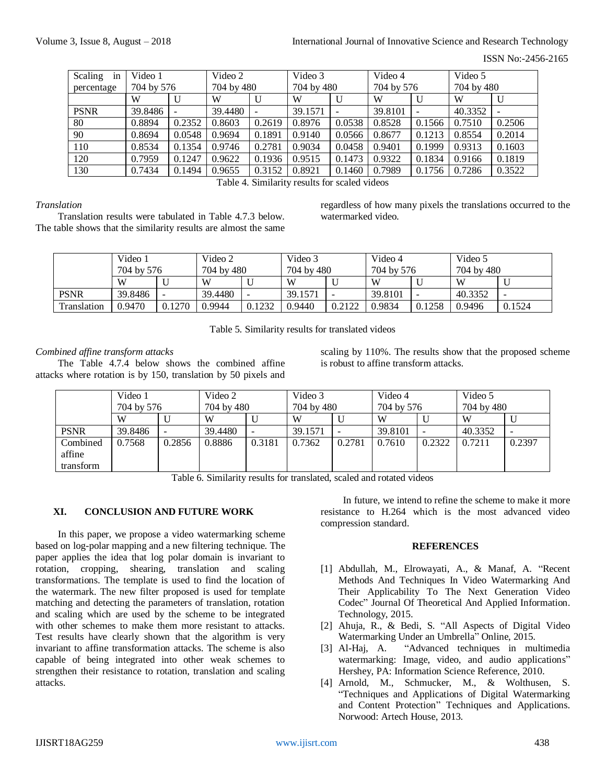## Volume 3, Issue 8, August – 2018 **International Journal of Innovative Science and Research Technology**

ISSN No:-2456-2165

| Scaling<br>in | Video 1    |        | Video 2    |        | Video 3    |        | Video 4    |                          | Video 5    |        |
|---------------|------------|--------|------------|--------|------------|--------|------------|--------------------------|------------|--------|
| percentage    | 704 by 576 |        | 704 by 480 |        | 704 by 480 |        | 704 by 576 |                          | 704 by 480 |        |
|               | W          |        | W          | U      | W          | U      | W          |                          | W          | U      |
| <b>PSNR</b>   | 39.8486    |        | 39.4480    |        | 39.1571    |        | 39.8101    | $\overline{\phantom{a}}$ | 40.3352    |        |
| 80            | 0.8894     | 0.2352 | 0.8603     | 0.2619 | 0.8976     | 0.0538 | 0.8528     | 0.1566                   | 0.7510     | 0.2506 |
| 90            | 0.8694     | 0.0548 | 0.9694     | 0.1891 | 0.9140     | 0.0566 | 0.8677     | 0.1213                   | 0.8554     | 0.2014 |
| 110           | 0.8534     | 0.1354 | 0.9746     | 0.2781 | 0.9034     | 0.0458 | 0.9401     | 0.1999                   | 0.9313     | 0.1603 |
| 120           | 0.7959     | 0.1247 | 0.9622     | 0.1936 | 0.9515     | 0.1473 | 0.9322     | 0.1834                   | 0.9166     | 0.1819 |
| 130           | 0.7434     | 0.1494 | 0.9655     | 0.3152 | 0.8921     | 0.1460 | 0.7989     | 0.1756                   | 0.7286     | 0.3522 |

Table 4. Similarity results for scaled videos

## *Translation*

Translation results were tabulated in Table 4.7.3 below. The table shows that the similarity results are almost the same regardless of how many pixels the translations occurred to the watermarked video.

|             | Video 1<br>704 by 576 |                          | Video 2<br>704 by 480 |                          | Video 3<br>704 by 480 |        | Video 4<br>704 by 576 |        | Video 5<br>704 by 480 |        |
|-------------|-----------------------|--------------------------|-----------------------|--------------------------|-----------------------|--------|-----------------------|--------|-----------------------|--------|
|             | W                     |                          | W                     |                          | W                     | U      | W                     |        | W                     |        |
| <b>PSNR</b> | 39.8486               | $\overline{\phantom{0}}$ | 39.4480               | $\overline{\phantom{0}}$ | 39.1571               |        | 39.8101               |        | 40.3352               |        |
| Translation | 0.9470                | 0.1270                   | 0.9944                | 0.1232                   | 0.9440                | 0.2122 | 0.9834                | 0.1258 | 0.9496                | 0.1524 |

Table 5. Similarity results for translated videos

# *Combined affine transform attacks*

The Table 4.7.4 below shows the combined affine attacks where rotation is by 150, translation by 50 pixels and scaling by 110%. The results show that the proposed scheme is robust to affine transform attacks.

|             | Video 1    |        | Video 2    |        | Video 3    |        | Video 4    |        | Video 5    |        |
|-------------|------------|--------|------------|--------|------------|--------|------------|--------|------------|--------|
|             | 704 by 576 |        | 704 by 480 |        | 704 by 480 |        | 704 by 576 |        | 704 by 480 |        |
|             | W          |        | W          |        | W          |        | W          |        | W          | U      |
| <b>PSNR</b> | 39.8486    |        | 39.4480    |        | 39.1571    |        | 39.8101    |        | 40.3352    |        |
| Combined    | 0.7568     | 0.2856 | 0.8886     | 0.3181 | 0.7362     | 0.2781 | 0.7610     | 0.2322 | 0.7211     | 0.2397 |
| affine      |            |        |            |        |            |        |            |        |            |        |
| transform   |            |        |            |        |            |        |            |        |            |        |

Table 6. Similarity results for translated, scaled and rotated videos

# **XI. CONCLUSION AND FUTURE WORK**

In this paper, we propose a video watermarking scheme based on log-polar mapping and a new filtering technique. The paper applies the idea that log polar domain is invariant to rotation, cropping, shearing, translation and scaling transformations. The template is used to find the location of the watermark. The new filter proposed is used for template matching and detecting the parameters of translation, rotation and scaling which are used by the scheme to be integrated with other schemes to make them more resistant to attacks. Test results have clearly shown that the algorithm is very invariant to affine transformation attacks. The scheme is also capable of being integrated into other weak schemes to strengthen their resistance to rotation, translation and scaling attacks.

In future, we intend to refine the scheme to make it more resistance to H.264 which is the most advanced video compression standard.

#### **REFERENCES**

- [1] Abdullah, M., Elrowayati, A., & Manaf, A. "Recent Methods And Techniques In Video Watermarking And Their Applicability To The Next Generation Video Codec" Journal Of Theoretical And Applied Information. Technology, 2015.
- [2] Ahuja, R., & Bedi, S. "All Aspects of Digital Video Watermarking Under an Umbrella" Online, 2015.
- [3] Al-Haj, A. "Advanced techniques in multimedia watermarking: Image, video, and audio applications" Hershey, PA: Information Science Reference, 2010.
- [4] Arnold, M., Schmucker, M., & Wolthusen, S. "Techniques and Applications of Digital Watermarking and Content Protection" Techniques and Applications. Norwood: Artech House, 2013.